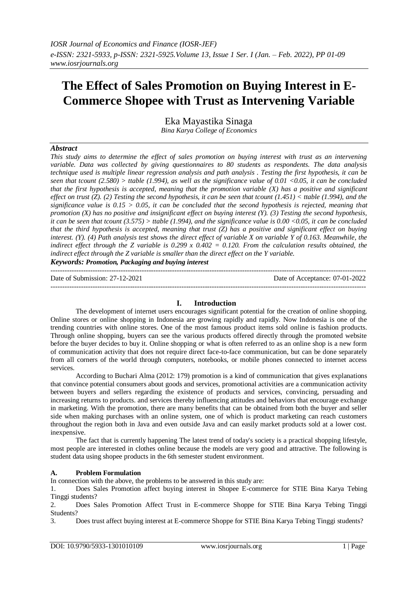# **The Effect of Sales Promotion on Buying Interest in E-Commerce Shopee with Trust as Intervening Variable**

Eka Mayastika Sinaga *Bina Karya College of Economics*

### *Abstract*

*This study aims to determine the effect of sales promotion on buying interest with trust as an intervening variable. Data was collected by giving questionnaires to 80 students as respondents. The data analysis technique used is multiple linear regression analysis and path analysis . Testing the first hypothesis, it can be seen that tcount (2.580) > ttable (1.994), as well as the significance value of 0.01 <0.05, it can be concluded that the first hypothesis is accepted, meaning that the promotion variable (X) has a positive and significant effect on trust (Z). (2) Testing the second hypothesis, it can be seen that tcount (1.451) < ttable (1.994), and the significance value is 0.15 > 0.05, it can be concluded that the second hypothesis is rejected, meaning that promotion (X) has no positive and insignificant effect on buying interest (Y). (3) Testing the second hypothesis, it can be seen that tcount (3.575) > ttable (1.994), and the significance value is 0.00 <0.05, it can be concluded that the third hypothesis is accepted, meaning that trust (Z) has a positive and significant effect on buying interest.* (Y). (4) Path analysis test shows the direct effect of variable X on variable Y of 0.163. Meanwhile, the *indirect effect through the Z variable is 0.299 x 0.402 = 0.120. From the calculation results obtained, the indirect effect through the Z variable is smaller than the direct effect on the Y variable.*

*Keywords: Promotion, Packaging and buying interest*

| Date of Submission: $27-12-2021$ | Date of Acceptance: 07-01-2022 |
|----------------------------------|--------------------------------|
|                                  |                                |

### **I. Introduction**

The development of internet users encourages significant potential for the creation of online shopping. Online stores or online shopping in Indonesia are growing rapidly and rapidly. Now Indonesia is one of the trending countries with online stores. One of the most famous product items sold online is fashion products. Through online shopping, buyers can see the various products offered directly through the promoted website before the buyer decides to buy it. Online shopping or what is often referred to as an online shop is a new form of communication activity that does not require direct face-to-face communication, but can be done separately from all corners of the world through computers, notebooks, or mobile phones connected to internet access services.

According to Buchari Alma (2012: 179) promotion is a kind of communication that gives explanations that convince potential consumers about goods and services, promotional activities are a communication activity between buyers and sellers regarding the existence of products and services, convincing, persuading and increasing returns to products. and services thereby influencing attitudes and behaviors that encourage exchange in marketing. With the promotion, there are many benefits that can be obtained from both the buyer and seller side when making purchases with an online system, one of which is product marketing can reach customers throughout the region both in Java and even outside Java and can easily market products sold at a lower cost. inexpensive.

The fact that is currently happening The latest trend of today's society is a practical shopping lifestyle, most people are interested in clothes online because the models are very good and attractive. The following is student data using shopee products in the 6th semester student environment.

### **A. Problem Formulation**

In connection with the above, the problems to be answered in this study are:

1. Does Sales Promotion affect buying interest in Shopee E-commerce for STIE Bina Karya Tebing Tinggi students?

2. Does Sales Promotion Affect Trust in E-commerce Shoppe for STIE Bina Karya Tebing Tinggi Students?

3. Does trust affect buying interest at E-commerce Shoppe for STIE Bina Karya Tebing Tinggi students?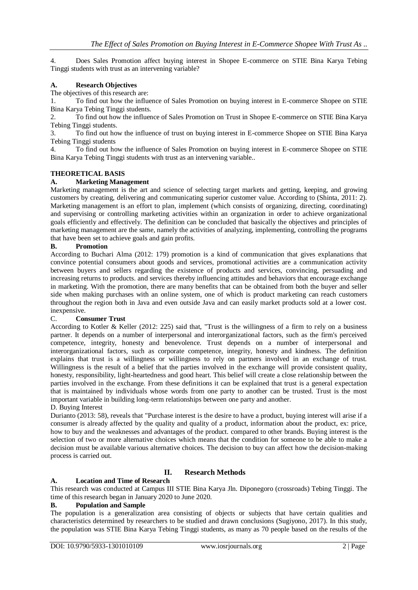4. Does Sales Promotion affect buying interest in Shopee E-commerce on STIE Bina Karya Tebing Tinggi students with trust as an intervening variable?

### **A. Research Objectives**

### The objectives of this research are:

1. To find out how the influence of Sales Promotion on buying interest in E-commerce Shopee on STIE Bina Karya Tebing Tinggi students.

2. To find out how the influence of Sales Promotion on Trust in Shopee E-commerce on STIE Bina Karya Tebing Tinggi students.

3. To find out how the influence of trust on buying interest in E-commerce Shopee on STIE Bina Karya Tebing Tinggi students

4. To find out how the influence of Sales Promotion on buying interest in E-commerce Shopee on STIE Bina Karya Tebing Tinggi students with trust as an intervening variable..

### **THEORETICAL BASIS**

### **A. Marketing Management**

Marketing management is the art and science of selecting target markets and getting, keeping, and growing customers by creating, delivering and communicating superior customer value. According to (Shinta, 2011: 2). Marketing management is an effort to plan, implement (which consists of organizing, directing, coordinating) and supervising or controlling marketing activities within an organization in order to achieve organizational goals efficiently and effectively. The definition can be concluded that basically the objectives and principles of marketing management are the same, namely the activities of analyzing, implementing, controlling the programs that have been set to achieve goals and gain profits.

### **B. Promotion**

According to Buchari Alma (2012: 179) promotion is a kind of communication that gives explanations that convince potential consumers about goods and services, promotional activities are a communication activity between buyers and sellers regarding the existence of products and services, convincing, persuading and increasing returns to products. and services thereby influencing attitudes and behaviors that encourage exchange in marketing. With the promotion, there are many benefits that can be obtained from both the buyer and seller side when making purchases with an online system, one of which is product marketing can reach customers throughout the region both in Java and even outside Java and can easily market products sold at a lower cost. inexpensive.

### C. **Consumer Trust**

According to Kotler & Keller (2012: 225) said that, "Trust is the willingness of a firm to rely on a business partner. It depends on a number of interpersonal and interorganizational factors, such as the firm's perceived competence, integrity, honesty and benevolence. Trust depends on a number of interpersonal and interorganizational factors, such as corporate competence, integrity, honesty and kindness. The definition explains that trust is a willingness or willingness to rely on partners involved in an exchange of trust. Willingness is the result of a belief that the parties involved in the exchange will provide consistent quality, honesty, responsibility, light-heartedness and good heart. This belief will create a close relationship between the parties involved in the exchange. From these definitions it can be explained that trust is a general expectation that is maintained by individuals whose words from one party to another can be trusted. Trust is the most important variable in building long-term relationships between one party and another. D. Buying Interest

Durianto (2013: 58), reveals that "Purchase interest is the desire to have a product, buying interest will arise if a consumer is already affected by the quality and quality of a product, information about the product, ex: price, how to buy and the weaknesses and advantages of the product. compared to other brands. Buying interest is the selection of two or more alternative choices which means that the condition for someone to be able to make a decision must be available various alternative choices. The decision to buy can affect how the decision-making process is carried out.

### **A. Location and Time of Research**

### This research was conducted at Campus III STIE Bina Karya Jln. Diponegoro (crossroads) Tebing Tinggi. The time of this research began in January 2020 to June 2020.

**II. Research Methods**

### **B. Population and Sample**

The population is a generalization area consisting of objects or subjects that have certain qualities and characteristics determined by researchers to be studied and drawn conclusions (Sugiyono, 2017). In this study, the population was STIE Bina Karya Tebing Tinggi students, as many as 70 people based on the results of the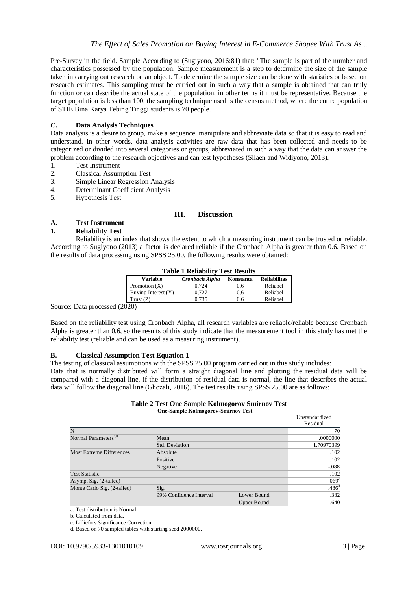Pre-Survey in the field. Sample According to (Sugiyono, 2016:81) that: "The sample is part of the number and characteristics possessed by the population. Sample measurement is a step to determine the size of the sample taken in carrying out research on an object. To determine the sample size can be done with statistics or based on research estimates. This sampling must be carried out in such a way that a sample is obtained that can truly function or can describe the actual state of the population, in other terms it must be representative. Because the target population is less than 100, the sampling technique used is the census method, where the entire population of STIE Bina Karya Tebing Tinggi students is 70 people.

### **C. Data Analysis Techniques**

Data analysis is a desire to group, make a sequence, manipulate and abbreviate data so that it is easy to read and understand. In other words, data analysis activities are raw data that has been collected and needs to be categorized or divided into several categories or groups, abbreviated in such a way that the data can answer the problem according to the research objectives and can test hypotheses (Silaen and Widiyono, 2013).

- 1. Test Instrument
- 2. Classical Assumption Test
- 3. Simple Linear Regression Analysis<br>4 Determinant Coefficient Analysis
- Determinant Coefficient Analysis
- 5. Hypothesis Test

### **III. Discussion**

# **A. Test Instrument**

### **1. Reliability Test**

Reliability is an index that shows the extent to which a measuring instrument can be trusted or reliable. According to Sugiyono (2013) a factor is declared reliable if the Cronbach Alpha is greater than 0.6. Based on the results of data processing using SPSS 25.00, the following results were obtained:

| Table I Reliability Test Results |                |           |                     |  |  |  |  |
|----------------------------------|----------------|-----------|---------------------|--|--|--|--|
| <b>Variable</b>                  | Cronbach Alpha | Konstanta | <b>Reliabilitas</b> |  |  |  |  |
| Promotion $(X)$                  | 0.724          | 0.6       | Reliabel            |  |  |  |  |
| Buying Interest (Y)              | 0.727          | 0.6       | Reliabel            |  |  |  |  |
| Trust(Z)                         | 0.735          | 0.6       | Reliabel            |  |  |  |  |

#### **Table 1 Reliability Test Results**

Source: Data processed (2020)

Based on the reliability test using Cronbach Alpha, all research variables are reliable/reliable because Cronbach Alpha is greater than 0.6, so the results of this study indicate that the measurement tool in this study has met the reliability test (reliable and can be used as a measuring instrument).

### **B. Classical Assumption Test Equation 1**

The testing of classical assumptions with the SPSS 25.00 program carried out in this study includes:

Data that is normally distributed will form a straight diagonal line and plotting the residual data will be compared with a diagonal line, if the distribution of residual data is normal, the line that describes the actual data will follow the diagonal line (Ghozali, 2016). The test results using SPSS 25.00 are as follows:

#### **Table 2 Test One Sample Kolmogorov Smirnov Test One-Sample Kolmogorov-Smirnov Test**

|                                  |                         |             | Unstandardized<br>Residual |  |  |  |
|----------------------------------|-------------------------|-------------|----------------------------|--|--|--|
| N                                |                         |             | 70                         |  |  |  |
| Normal Parameters <sup>a,b</sup> | Mean                    |             | .0000000                   |  |  |  |
|                                  | Std. Deviation          |             |                            |  |  |  |
| <b>Most Extreme Differences</b>  | Absolute                |             |                            |  |  |  |
|                                  | Positive                | .102        |                            |  |  |  |
|                                  | Negative                | $-.088$     |                            |  |  |  |
| <b>Test Statistic</b>            |                         |             | .102                       |  |  |  |
| Asymp. Sig. (2-tailed)           |                         |             | .069 <sup>c</sup>          |  |  |  |
| Monte Carlo Sig. (2-tailed)      | Sig.                    |             | .486 <sup>d</sup>          |  |  |  |
|                                  | 99% Confidence Interval | Lower Bound | .332                       |  |  |  |
|                                  |                         | Upper Bound | .640                       |  |  |  |

a. Test distribution is Normal.

b. Calculated from data.

c. Lilliefors Significance Correction.

d. Based on 70 sampled tables with starting seed 2000000.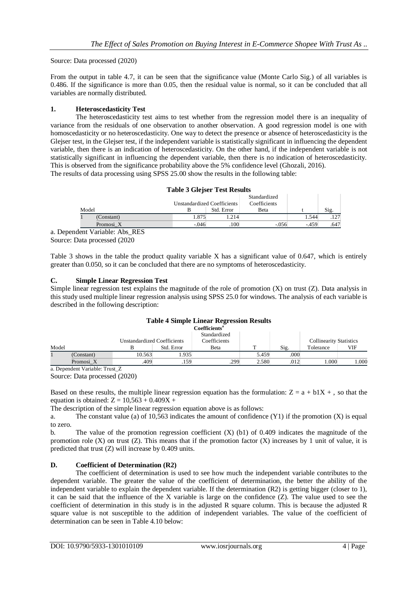Source: Data processed (2020)

From the output in table 4.7, it can be seen that the significance value (Monte Carlo Sig.) of all variables is 0.486. If the significance is more than 0.05, then the residual value is normal, so it can be concluded that all variables are normally distributed.

### **1. Heteroscedasticity Test**

The heteroscedasticity test aims to test whether from the regression model there is an inequality of variance from the residuals of one observation to another observation. A good regression model is one with homoscedasticity or no heteroscedasticity. One way to detect the presence or absence of heteroscedasticity is the Glejser test, in the Glejser test, if the independent variable is statistically significant in influencing the dependent variable, then there is an indication of heteroscedasticity. On the other hand, if the independent variable is not statistically significant in influencing the dependent variable, then there is no indication of heteroscedasticity. This is observed from the significance probability above the 5% confidence level (Ghozali, 2016). The results of data processing using SPSS 25.00 show the results in the following table:

|       |            | <b>Table 3 Glejser Test Results</b> |            |                              |        |      |
|-------|------------|-------------------------------------|------------|------------------------------|--------|------|
|       |            | Unstandardized Coefficients         |            | Standardized<br>Coefficients |        |      |
| Model |            |                                     | Std. Error | <b>B</b> eta                 |        | Sig. |
|       | (Constant) | 1.875                               | 1.214      |                              | 1.544  | 127  |
|       | Promosi X  | $-.046$                             | .100       | $-0.056$                     | $-459$ | .647 |
|       |            |                                     |            |                              |        |      |

a. Dependent Variable: Abs\_RES Source: Data processed (2020

Table 3 shows in the table the product quality variable X has a significant value of 0.647, which is entirely greater than 0.050, so it can be concluded that there are no symptoms of heteroscedasticity.

### **C. Simple Linear Regression Test**

Simple linear regression test explains the magnitude of the role of promotion (X) on trust (Z). Data analysis in this study used multiple linear regression analysis using SPSS 25.0 for windows. The analysis of each variable is described in the following description:

## **Table 4 Simple Linear Regression Results**

|        |            |                                    |            | <b>Coefficients</b> <sup>a</sup>     |       |      |                                             |      |
|--------|------------|------------------------------------|------------|--------------------------------------|-------|------|---------------------------------------------|------|
| Model  |            | <b>Unstandardized Coefficients</b> | Std. Error | Standardized<br>Coefficients<br>Beta | m     | Sig. | <b>Collinearity Statistics</b><br>Tolerance | VIF  |
|        |            |                                    |            |                                      |       |      |                                             |      |
|        | (Constant) | 10.563                             | .935       |                                      | 5.459 | .000 |                                             |      |
|        | Promosi X  | .409                               | .159       | .299                                 | 2.580 | .012 | 000.1                                       | .000 |
| $\sim$ | .  .       | $\sim$                             |            |                                      |       |      |                                             |      |

a. Dependent Variable: Trust\_Z

Source: Data processed (2020)

Based on these results, the multiple linear regression equation has the formulation:  $Z = a + b1X +$ , so that the equation is obtained:  $Z = 10,563 + 0.409X +$ 

The description of the simple linear regression equation above is as follows:

a. The constant value (a) of 10,563 indicates the amount of confidence  $(Y1)$  if the promotion  $(X)$  is equal to zero.

b. The value of the promotion regression coefficient (X) (b1) of 0.409 indicates the magnitude of the promotion role  $(X)$  on trust  $(Z)$ . This means that if the promotion factor  $(X)$  increases by 1 unit of value, it is predicted that trust (Z) will increase by 0.409 units.

### **D. Coefficient of Determination (R2)**

The coefficient of determination is used to see how much the independent variable contributes to the dependent variable. The greater the value of the coefficient of determination, the better the ability of the independent variable to explain the dependent variable. If the determination (R2) is getting bigger (closer to 1), it can be said that the influence of the X variable is large on the confidence (Z). The value used to see the coefficient of determination in this study is in the adjusted R square column. This is because the adjusted R square value is not susceptible to the addition of independent variables. The value of the coefficient of determination can be seen in Table 4.10 below: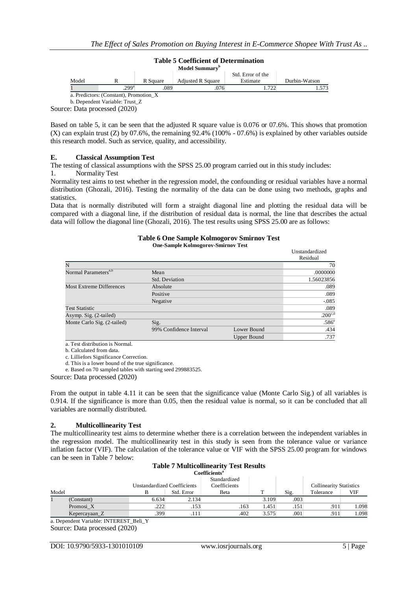

Source: Data processed (2020)

Based on table 5, it can be seen that the adjusted R square value is 0.076 or 07.6%. This shows that promotion (X) can explain trust (Z) by 07.6%, the remaining 92.4% (100% - 07.6%) is explained by other variables outside this research model. Such as service, quality, and accessibility.

### **E. Classical Assumption Test**

The testing of classical assumptions with the SPSS 25.00 program carried out in this study includes:

1. Normality Test

Normality test aims to test whether in the regression model, the confounding or residual variables have a normal distribution (Ghozali, 2016). Testing the normality of the data can be done using two methods, graphs and statistics.

Data that is normally distributed will form a straight diagonal line and plotting the residual data will be compared with a diagonal line, if the distribution of residual data is normal, the line that describes the actual data will follow the diagonal line (Ghozali, 2016). The test results using SPSS 25.00 are as follows:

### **Table 6 One Sample Kolmogorov Smirnov Test**

**One-Sample Kolmogorov-Smirnov Test**

|                                  |                         |             | Unstandardized<br>Residual |  |  |  |
|----------------------------------|-------------------------|-------------|----------------------------|--|--|--|
| N                                |                         |             | 70                         |  |  |  |
| Normal Parameters <sup>a,b</sup> | Mean                    |             | .0000000                   |  |  |  |
|                                  | Std. Deviation          |             |                            |  |  |  |
| <b>Most Extreme Differences</b>  | Absolute                |             |                            |  |  |  |
|                                  | Positive                | .089        |                            |  |  |  |
|                                  | Negative                |             | $-0.085$                   |  |  |  |
| <b>Test Statistic</b>            |                         |             | .089                       |  |  |  |
| Asymp. Sig. (2-tailed)           |                         |             | .200 <sub>c,d</sub>        |  |  |  |
| Monte Carlo Sig. (2-tailed)      | Sig.                    |             | .586 <sup>e</sup>          |  |  |  |
|                                  | 99% Confidence Interval | Lower Bound | .434                       |  |  |  |
|                                  |                         | Upper Bound | .737                       |  |  |  |

a. Test distribution is Normal.

b. Calculated from data.

c. Lilliefors Significance Correction.

d. This is a lower bound of the true significance.

e. Based on 70 sampled tables with starting seed 299883525.

Source: Data processed (2020)

From the output in table 4.11 it can be seen that the significance value (Monte Carlo Sig.) of all variables is 0.914. If the significance is more than 0.05, then the residual value is normal, so it can be concluded that all variables are normally distributed.

### **2. Multicollinearity Test**

The multicollinearity test aims to determine whether there is a correlation between the independent variables in the regression model. The multicollinearity test in this study is seen from the tolerance value or variance inflation factor (VIF). The calculation of the tolerance value or VIF with the SPSS 25.00 program for windows can be seen in Table 7 below:

#### **Table 7 Multicollinearity Test Results Coefficients<sup>a</sup>**

|       | соепісісніз   |                                    |            |              |       |      |                                |       |  |
|-------|---------------|------------------------------------|------------|--------------|-------|------|--------------------------------|-------|--|
|       |               |                                    |            | Standardized |       |      |                                |       |  |
|       |               | <b>Unstandardized Coefficients</b> |            | Coefficients |       |      | <b>Collinearity Statistics</b> |       |  |
| Model |               |                                    | Std. Error | Beta         |       | Sig. | Tolerance                      | VIF   |  |
|       | (Constant)    | 6.634                              | 2.134      |              | 3.109 | .003 |                                |       |  |
|       | Promosi X     | .222                               | .153       | .163         | 1.451 | .151 | .911                           | 1.098 |  |
|       | Kepercayaan Z | 399                                | .111       | .402         | 3.575 | .001 | .911                           | .098  |  |

a. Dependent Variable: INTEREST\_Beli\_Y Source: Data processed (2020)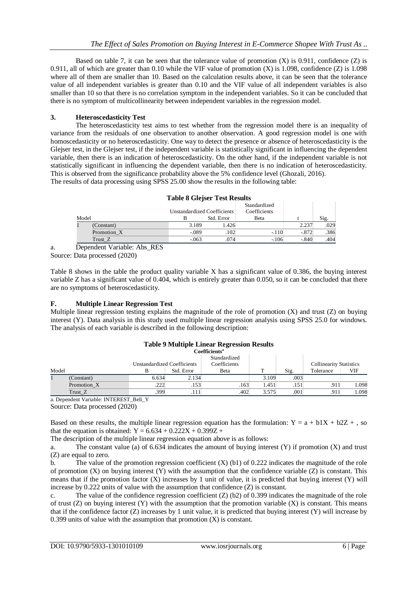Based on table 7, it can be seen that the tolerance value of promotion  $(X)$  is 0.911, confidence  $(Z)$  is 0.911, all of which are greater than 0.10 while the VIF value of promotion  $(X)$  is 1.098, confidence  $(Z)$  is 1.098 where all of them are smaller than 10. Based on the calculation results above, it can be seen that the tolerance value of all independent variables is greater than 0.10 and the VIF value of all independent variables is also smaller than 10 so that there is no correlation symptom in the independent variables. So it can be concluded that there is no symptom of multicollinearity between independent variables in the regression model.

### **3. Heteroscedasticity Test**

The heteroscedasticity test aims to test whether from the regression model there is an inequality of variance from the residuals of one observation to another observation. A good regression model is one with homoscedasticity or no heteroscedasticity. One way to detect the presence or absence of heteroscedasticity is the Glejser test, in the Glejser test, if the independent variable is statistically significant in influencing the dependent variable, then there is an indication of heteroscedasticity. On the other hand, if the independent variable is not statistically significant in influencing the dependent variable, then there is no indication of heteroscedasticity. This is observed from the significance probability above the 5% confidence level (Ghozali, 2016). The results of data processing using SPSS 25.00 show the results in the following table:

|           |                                                      | Unstandardized Coefficients |            | Standardized<br>Coefficients |         |      |
|-----------|------------------------------------------------------|-----------------------------|------------|------------------------------|---------|------|
| Model     |                                                      |                             | Std. Error | Beta                         |         | Sig. |
|           | (Constant)                                           | 3.189                       | 1.426      |                              | 2.237   | .029 |
|           | Promotion X                                          | $-.089$                     | .102       | $-.110$                      | $-.872$ | .386 |
|           | Trust Z                                              | $-.063$                     | .074       | $-106$                       | $-.840$ | .404 |
| <u>т.</u> | <b>DDO</b><br>$\cdots$ $\cdots$ $\cdots$<br>$\cdots$ |                             |            |                              |         |      |

**Table 8 Glejser Test Results**

a. Dependent Variable: Abs\_RES

Source: Data processed (2020)

Table 8 shows in the table the product quality variable X has a significant value of 0.386, the buying interest variable Z has a significant value of 0.404, which is entirely greater than 0.050, so it can be concluded that there are no symptoms of heteroscedasticity.

### **F. Multiple Linear Regression Test**

Multiple linear regression testing explains the magnitude of the role of promotion (X) and trust (Z) on buying interest (Y). Data analysis in this study used multiple linear regression analysis using SPSS 25.0 for windows. The analysis of each variable is described in the following description:

|       |             |                                    |            | <b>Coefficients"</b>         |       |      |                                |       |
|-------|-------------|------------------------------------|------------|------------------------------|-------|------|--------------------------------|-------|
|       |             | <b>Unstandardized Coefficients</b> |            | Standardized<br>Coefficients |       |      | <b>Collinearity Statistics</b> |       |
| Model |             |                                    | Std. Error | Beta                         |       | Sig. | Tolerance                      | VIF   |
|       | (Constant)  | 6.634                              | 2.134      |                              | 3.109 | .003 |                                |       |
|       | Promotion X | .222                               | .153       | .163                         | 1.451 | .151 | .911                           | .098  |
|       | Trust Z     | .399                               | .111       | .402                         | 3.575 | .001 | .911                           | 1.098 |

#### **Table 9 Multiple Linear Regression Results Coefficients<sup>a</sup>**

a. Dependent Variable: INTEREST\_Beli\_Y

Source: Data processed (2020)

Based on these results, the multiple linear regression equation has the formulation:  $Y = a + b1X + b2Z +$ , so that the equation is obtained:  $Y = 6.634 + 0.222X + 0.399Z +$ 

The description of the multiple linear regression equation above is as follows:

a. The constant value (a) of 6.634 indicates the amount of buying interest  $(Y)$  if promotion  $(X)$  and trust (Z) are equal to zero.

b. The value of the promotion regression coefficient  $(X)$  (b1) of 0.222 indicates the magnitude of the role of promotion  $(X)$  on buying interest  $(Y)$  with the assumption that the confidence variable  $(Z)$  is constant. This means that if the promotion factor (X) increases by 1 unit of value, it is predicted that buying interest (Y) will increase by 0.222 units of value with the assumption that confidence (Z) is constant.

c. The value of the confidence regression coefficient  $(Z)$  (b2) of 0.399 indicates the magnitude of the role of trust  $(Z)$  on buying interest  $(Y)$  with the assumption that the promotion variable  $(X)$  is constant. This means that if the confidence factor  $(Z)$  increases by 1 unit value, it is predicted that buying interest  $(Y)$  will increase by 0.399 units of value with the assumption that promotion  $(X)$  is constant.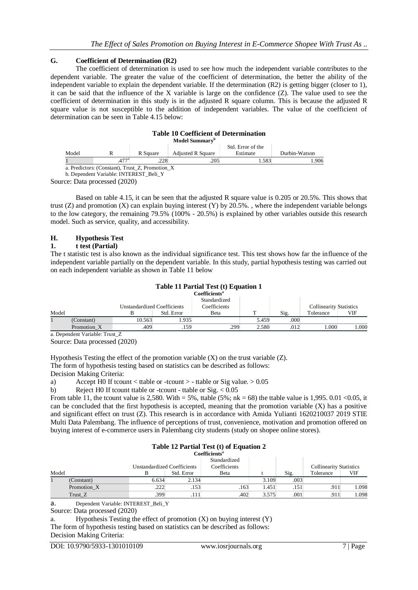### **G. Coefficient of Determination (R2)**

The coefficient of determination is used to see how much the independent variable contributes to the dependent variable. The greater the value of the coefficient of determination, the better the ability of the independent variable to explain the dependent variable. If the determination (R2) is getting bigger (closer to 1), it can be said that the influence of the X variable is large on the confidence (Z). The value used to see the coefficient of determination in this study is in the adjusted R square column. This is because the adjusted R square value is not susceptible to the addition of independent variables. The value of the coefficient of determination can be seen in Table 4.15 below:

|       |                                             |          | <b>Table 10 Coefficient of Determination</b><br>Model Summary <sup>b</sup> |                               |               |
|-------|---------------------------------------------|----------|----------------------------------------------------------------------------|-------------------------------|---------------|
| Model |                                             | R Square | <b>Adjusted R Square</b>                                                   | Std. Error of the<br>Estimate | Durbin-Watson |
|       |                                             | 228      | .205                                                                       | .583                          | .906          |
|       | a Predictors (Constant) Trust Z Promotion X |          |                                                                            |                               |               |

b. Dependent Variable: INTEREST\_Beli\_Y

Source: Data processed (2020)

Based on table 4.15, it can be seen that the adjusted R square value is 0.205 or 20.5%. This shows that trust (Z) and promotion  $(X)$  can explain buying interest  $(Y)$  by 20.5%., where the independent variable belongs to the low category, the remaining 79.5% (100% - 20.5%) is explained by other variables outside this research model. Such as service, quality, and accessibility.

### **H. Hypothesis Test**

### **1. t test (Partial)**

The t statistic test is also known as the individual significance test. This test shows how far the influence of the independent variable partially on the dependent variable. In this study, partial hypothesis testing was carried out on each independent variable as shown in Table 11 below

### **Table 11 Partial Test (t) Equation 1**

|       |             |                                    |            | <b>Coefficients</b> <sup>a</sup> |       |      |                                |      |
|-------|-------------|------------------------------------|------------|----------------------------------|-------|------|--------------------------------|------|
|       |             |                                    |            | Standardized                     |       |      |                                |      |
|       |             | <b>Unstandardized Coefficients</b> |            | Coefficients                     |       |      | <b>Collinearity Statistics</b> |      |
| Model |             |                                    | Std. Error | Beta                             |       | Sig. | Tolerance                      | VIF  |
|       | (Constant)  | 10.563                             | .935       |                                  | 5.459 | .000 |                                |      |
|       | Promotion X | .409                               | .159       | .299                             | 2.580 | .012 | 000.1                          | .000 |
|       | ________    | $\overline{\phantom{a}}$           |            |                                  |       |      |                                |      |

a. Dependent Variable: Trust\_Z

Source: Data processed (2020)

Hypothesis Testing the effect of the promotion variable  $(X)$  on the trust variable  $(Z)$ . The form of hypothesis testing based on statistics can be described as follows:

Decision Making Criteria:

a) Accept H0 If tcount  $\lt$  ttable or -tcount  $>$  - ttable or Sig value.  $> 0.05$ 

b) Reject H0 If tcount ttable or -tcount - ttable or Sig. < 0.05

From table 11, the tcount value is 2,580. With = 5%, ttable (5%; nk = 68) the ttable value is 1,995. 0.01 < 0.05, it can be concluded that the first hypothesis is accepted, meaning that the promotion variable  $(X)$  has a positive and significant effect on trust (Z). This research is in accordance with Amida Yulianti 1620210037 2019 STIE Multi Data Palembang. The influence of perceptions of trust, convenience, motivation and promotion offered on buying interest of e-commerce users in Palembang city students (study on shopee online stores).

## **Table 12 Partial Test (t) of Equation 2**

|       |             |                                    |            | Coefficients <sup>a</sup> |       |      |                                |       |
|-------|-------------|------------------------------------|------------|---------------------------|-------|------|--------------------------------|-------|
|       |             |                                    |            | Standardized              |       |      |                                |       |
|       |             | <b>Unstandardized Coefficients</b> |            | Coefficients              |       |      | <b>Collinearity Statistics</b> |       |
| Model |             |                                    | Std. Error | Beta                      |       | Sig. | Tolerance                      | VIF   |
|       | (Constant)  | 6.634                              | 2.134      |                           | 3.109 | .003 |                                |       |
|       | Promotion X | .222                               | .153       | .163                      | 1.451 | .151 | .911                           | 1.098 |
|       | Trust Z     | .399                               | .111       | .402                      | 3.575 | .001 | .911                           | 1.098 |

a. Dependent Variable: INTEREST\_Beli\_Y

a. Hypothesis Testing the effect of promotion  $(X)$  on buying interest  $(Y)$ The form of hypothesis testing based on statistics can be described as follows: Decision Making Criteria:

Source: Data processed (2020)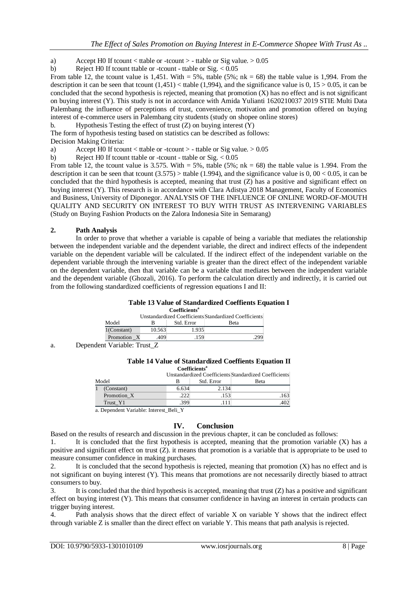- a) Accept H0 If tcount  $\langle$  ttable or -tcount  $>$  ttable or Sig value.  $> 0.05$
- b) Reject H0 If tcount ttable or -tcount ttable or  $\text{Sig.} < 0.05$

From table 12, the tcount value is 1,451. With  $= 5\%$ , ttable (5%; nk  $= 68$ ) the ttable value is 1,994. From the description it can be seen that tcount  $(1.451)$  < ttable  $(1.994)$ , and the significance value is 0,  $15 > 0.05$ , it can be concluded that the second hypothesis is rejected, meaning that promotion (X) has no effect and is not significant on buying interest (Y). This study is not in accordance with Amida Yulianti 1620210037 2019 STIE Multi Data Palembang the influence of perceptions of trust, convenience, motivation and promotion offered on buying interest of e-commerce users in Palembang city students (study on shopee online stores)

b. Hypothesis Testing the effect of trust (Z) on buying interest (Y)

The form of hypothesis testing based on statistics can be described as follows: Decision Making Criteria:

a) Accept H0 If tcount  $\lt$  ttable or -tcount  $>$  - ttable or Sig value.  $> 0.05$ 

b) Reject H0 If tcount ttable or -tcount - ttable or Sig.  $< 0.05$ 

From table 12, the tcount value is 3.575. With  $= 5\%$ , ttable (5%; nk  $= 68$ ) the ttable value is 1.994. From the description it can be seen that tcount  $(3.575)$  > ttable  $(1.994)$ , and the significance value is  $0, 00 < 0.05$ , it can be concluded that the third hypothesis is accepted, meaning that trust (Z) has a positive and significant effect on buying interest (Y). This research is in accordance with Clara Adistya 2018 Management, Faculty of Economics and Business, University of Diponegor. ANALYSIS OF THE INFLUENCE OF ONLINE WORD-OF-MOUTH QUALITY AND SECURITY ON INTEREST TO BUY WITH TRUST AS INTERVENING VARIABLES (Study on Buying Fashion Products on the Zalora Indonesia Site in Semarang)

### **2. Path Analysis**

In order to prove that whether a variable is capable of being a variable that mediates the relationship between the independent variable and the dependent variable, the direct and indirect effects of the independent variable on the dependent variable will be calculated. If the indirect effect of the independent variable on the dependent variable through the intervening variable is greater than the direct effect of the independent variable on the dependent variable, then that variable can be a variable that mediates between the independent variable and the dependent variable (Ghozali, 2016). To perform the calculation directly and indirectly, it is carried out from the following standardized coefficients of regression equations I and II:

### **Table 13 Value of Standardized Coeffients Equation I**

| <b>Coefficients<sup>a</sup></b> |                                                       |            |      |  |  |  |  |  |
|---------------------------------|-------------------------------------------------------|------------|------|--|--|--|--|--|
|                                 | Unstandardized Coefficients Standardized Coefficients |            |      |  |  |  |  |  |
| Model                           | в                                                     | Std. Error | Beta |  |  |  |  |  |
| $1$ (Constant)                  | 10.563                                                | 1.935      |      |  |  |  |  |  |
| Promotion X                     | .409                                                  | .159       |      |  |  |  |  |  |

a. Dependent Variable: Trust\_Z

#### **Table 14 Value of Standardized Coeffients Equation II Coefficients<sup>a</sup>**

| Coemercine                            |             |                                                       |            |      |  |  |  |
|---------------------------------------|-------------|-------------------------------------------------------|------------|------|--|--|--|
|                                       |             | Unstandardized Coefficients Standardized Coefficients |            |      |  |  |  |
| Model                                 |             |                                                       | Std. Error | Beta |  |  |  |
|                                       | (Constant)  | 6.634                                                 | 2.134      |      |  |  |  |
|                                       | Promotion X | 222                                                   | .153       | .163 |  |  |  |
|                                       | Trust Y1    | .399                                                  | .111       | .402 |  |  |  |
| $\sim$ December Western Linear Delt V |             |                                                       |            |      |  |  |  |

a. Dependent Variable: Interest\_Beli\_Y

### **IV. Conclusion**

Based on the results of research and discussion in the previous chapter, it can be concluded as follows:

1. It is concluded that the first hypothesis is accepted, meaning that the promotion variable (X) has a positive and significant effect on trust  $(Z)$ , it means that promotion is a variable that is appropriate to be used to measure consumer confidence in making purchases.

2. It is concluded that the second hypothesis is rejected, meaning that promotion (X) has no effect and is not significant on buying interest (Y). This means that promotions are not necessarily directly biased to attract consumers to buy.

3. It is concluded that the third hypothesis is accepted, meaning that trust (Z) has a positive and significant effect on buying interest (Y). This means that consumer confidence in having an interest in certain products can trigger buying interest.

4. Path analysis shows that the direct effect of variable X on variable Y shows that the indirect effect through variable Z is smaller than the direct effect on variable Y. This means that path analysis is rejected.